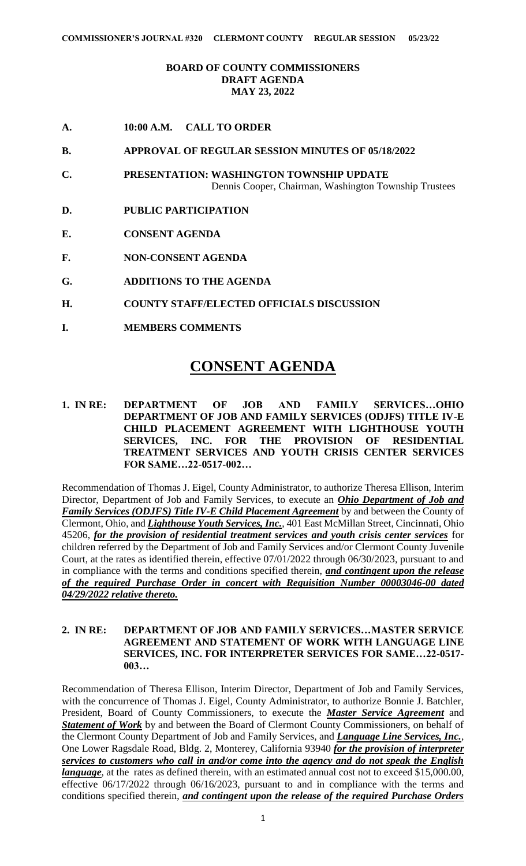## **BOARD OF COUNTY COMMISSIONERS DRAFT AGENDA MAY 23, 2022**

- **A. 10:00 A.M. CALL TO ORDER**
- **B. APPROVAL OF REGULAR SESSION MINUTES OF 05/18/2022**
- **C. PRESENTATION: WASHINGTON TOWNSHIP UPDATE** Dennis Cooper, Chairman, Washington Township Trustees
- **D. PUBLIC PARTICIPATION**
- **E. CONSENT AGENDA**
- **F. NON-CONSENT AGENDA**
- **G. ADDITIONS TO THE AGENDA**
- **H. COUNTY STAFF/ELECTED OFFICIALS DISCUSSION**
- **I. MEMBERS COMMENTS**

# **CONSENT AGENDA**

**1. IN RE: DEPARTMENT OF JOB AND FAMILY SERVICES…OHIO DEPARTMENT OF JOB AND FAMILY SERVICES (ODJFS) TITLE IV-E CHILD PLACEMENT AGREEMENT WITH LIGHTHOUSE YOUTH SERVICES, INC. FOR THE PROVISION OF RESIDENTIAL TREATMENT SERVICES AND YOUTH CRISIS CENTER SERVICES FOR SAME…22-0517-002…**

Recommendation of Thomas J. Eigel, County Administrator, to authorize Theresa Ellison, Interim Director, Department of Job and Family Services, to execute an *Ohio Department of Job and Family Services (ODJFS) Title IV-E Child Placement Agreement* by and between the County of Clermont, Ohio, and *Lighthouse Youth Services, Inc.*, 401 East McMillan Street, Cincinnati, Ohio 45206, *for the provision of residential treatment services and youth crisis center services* for children referred by the Department of Job and Family Services and/or Clermont County Juvenile Court, at the rates as identified therein, effective 07/01/2022 through 06/30/2023, pursuant to and in compliance with the terms and conditions specified therein, *and contingent upon the release of the required Purchase Order in concert with Requisition Number 00003046-00 dated 04/29/2022 relative thereto.*

## **2. IN RE: DEPARTMENT OF JOB AND FAMILY SERVICES…MASTER SERVICE AGREEMENT AND STATEMENT OF WORK WITH LANGUAGE LINE SERVICES, INC. FOR INTERPRETER SERVICES FOR SAME…22-0517- 003…**

Recommendation of Theresa Ellison, Interim Director, Department of Job and Family Services, with the concurrence of Thomas J. Eigel, County Administrator, to authorize Bonnie J. Batchler, President, Board of County Commissioners, to execute the *Master Service Agreement* and *Statement of Work* by and between the Board of Clermont County Commissioners, on behalf of the Clermont County Department of Job and Family Services, and *Language Line Services, Inc.*, One Lower Ragsdale Road, Bldg. 2, Monterey, California 93940 *for the provision of interpreter services to customers who call in and/or come into the agency and do not speak the English language*, at the rates as defined therein, with an estimated annual cost not to exceed \$15,000.00, effective 06/17/2022 through 06/16/2023, pursuant to and in compliance with the terms and conditions specified therein, *and contingent upon the release of the required Purchase Orders*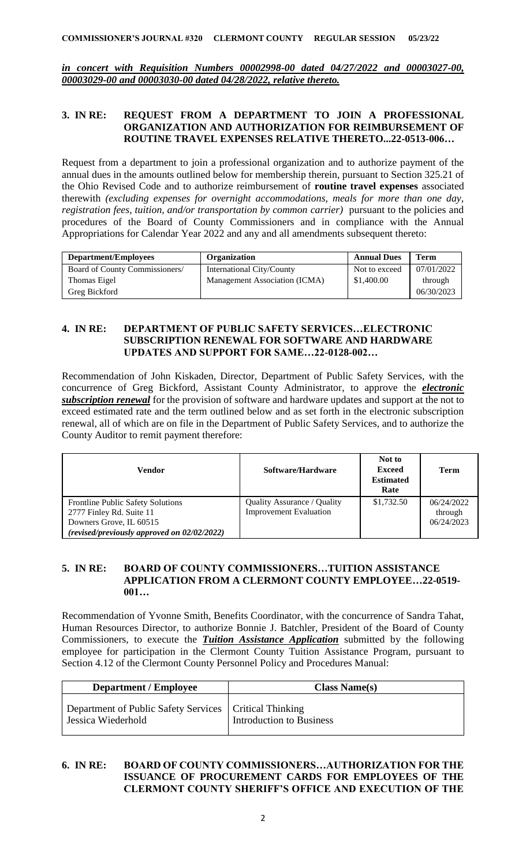*in concert with Requisition Numbers 00002998-00 dated 04/27/2022 and 00003027-00, 00003029-00 and 00003030-00 dated 04/28/2022, relative thereto.*

#### **3. IN RE: REQUEST FROM A DEPARTMENT TO JOIN A PROFESSIONAL ORGANIZATION AND AUTHORIZATION FOR REIMBURSEMENT OF ROUTINE TRAVEL EXPENSES RELATIVE THERETO...22-0513-006…**

Request from a department to join a professional organization and to authorize payment of the annual dues in the amounts outlined below for membership therein, pursuant to Section 325.21 of the Ohio Revised Code and to authorize reimbursement of **routine travel expenses** associated therewith *(excluding expenses for overnight accommodations, meals for more than one day, registration fees, tuition, and/or transportation by common carrier)* pursuant to the policies and procedures of the Board of County Commissioners and in compliance with the Annual Appropriations for Calendar Year 2022 and any and all amendments subsequent thereto:

| <b>Department/Employees</b>    | <b>Organization</b>           | <b>Annual Dues</b> | <b>Term</b> |
|--------------------------------|-------------------------------|--------------------|-------------|
| Board of County Commissioners/ | International City/County     | Not to exceed      | 07/01/2022  |
| Thomas Eigel                   | Management Association (ICMA) | \$1,400.00         | through     |
| Greg Bickford                  |                               |                    | 06/30/2023  |

### **4. IN RE: DEPARTMENT OF PUBLIC SAFETY SERVICES…ELECTRONIC SUBSCRIPTION RENEWAL FOR SOFTWARE AND HARDWARE UPDATES AND SUPPORT FOR SAME…22-0128-002…**

Recommendation of John Kiskaden, Director, Department of Public Safety Services, with the concurrence of Greg Bickford, Assistant County Administrator, to approve the *electronic subscription renewal* for the provision of software and hardware updates and support at the not to exceed estimated rate and the term outlined below and as set forth in the electronic subscription renewal, all of which are on file in the Department of Public Safety Services, and to authorize the County Auditor to remit payment therefore:

| Vendor                                                                                                                                  | Software/Hardware                                            | Not to<br><b>Exceed</b><br><b>Estimated</b><br>Rate | Term                                |
|-----------------------------------------------------------------------------------------------------------------------------------------|--------------------------------------------------------------|-----------------------------------------------------|-------------------------------------|
| Frontline Public Safety Solutions<br>2777 Finley Rd. Suite 11<br>Downers Grove, IL 60515<br>(revised/previously approved on 02/02/2022) | Quality Assurance / Quality<br><b>Improvement Evaluation</b> | \$1,732.50                                          | 06/24/2022<br>through<br>06/24/2023 |

## **5. IN RE: BOARD OF COUNTY COMMISSIONERS…TUITION ASSISTANCE APPLICATION FROM A CLERMONT COUNTY EMPLOYEE…22-0519- 001…**

Recommendation of Yvonne Smith, Benefits Coordinator, with the concurrence of Sandra Tahat, Human Resources Director, to authorize Bonnie J. Batchler, President of the Board of County Commissioners, to execute the *Tuition Assistance Application* submitted by the following employee for participation in the Clermont County Tuition Assistance Program, pursuant to Section 4.12 of the Clermont County Personnel Policy and Procedures Manual:

| <b>Department / Employee</b>                                                   | <b>Class Name(s)</b>     |
|--------------------------------------------------------------------------------|--------------------------|
| Department of Public Safety Services   Critical Thinking<br>Jessica Wiederhold | Introduction to Business |

## **6. IN RE: BOARD OF COUNTY COMMISSIONERS…AUTHORIZATION FOR THE ISSUANCE OF PROCUREMENT CARDS FOR EMPLOYEES OF THE CLERMONT COUNTY SHERIFF'S OFFICE AND EXECUTION OF THE**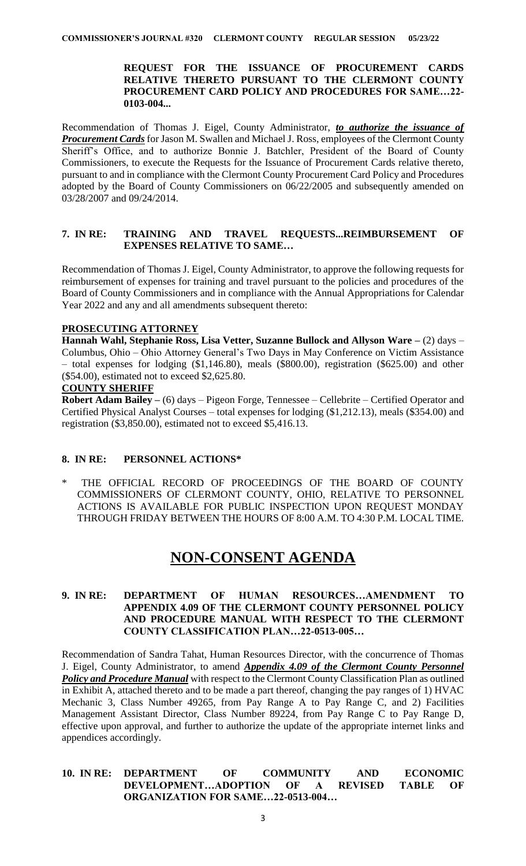#### **REQUEST FOR THE ISSUANCE OF PROCUREMENT CARDS RELATIVE THERETO PURSUANT TO THE CLERMONT COUNTY PROCUREMENT CARD POLICY AND PROCEDURES FOR SAME…22- 0103-004...**

Recommendation of Thomas J. Eigel, County Administrator, *to authorize the issuance of Procurement Cards* for Jason M. Swallen and Michael J. Ross, employees of the Clermont County Sheriff's Office, and to authorize Bonnie J. Batchler, President of the Board of County Commissioners, to execute the Requests for the Issuance of Procurement Cards relative thereto, pursuant to and in compliance with the Clermont County Procurement Card Policy and Procedures adopted by the Board of County Commissioners on 06/22/2005 and subsequently amended on 03/28/2007 and 09/24/2014.

#### **7. IN RE: TRAINING AND TRAVEL REQUESTS...REIMBURSEMENT OF EXPENSES RELATIVE TO SAME…**

Recommendation of Thomas J. Eigel, County Administrator, to approve the following requests for reimbursement of expenses for training and travel pursuant to the policies and procedures of the Board of County Commissioners and in compliance with the Annual Appropriations for Calendar Year 2022 and any and all amendments subsequent thereto:

## **PROSECUTING ATTORNEY**

**Hannah Wahl, Stephanie Ross, Lisa Vetter, Suzanne Bullock and Allyson Ware –** (2) days – Columbus, Ohio – Ohio Attorney General's Two Days in May Conference on Victim Assistance – total expenses for lodging (\$1,146.80), meals (\$800.00), registration (\$625.00) and other (\$54.00), estimated not to exceed \$2,625.80.

#### **COUNTY SHERIFF**

**Robert Adam Bailey –** (6) days – Pigeon Forge, Tennessee – Cellebrite – Certified Operator and Certified Physical Analyst Courses – total expenses for lodging (\$1,212.13), meals (\$354.00) and registration (\$3,850.00), estimated not to exceed \$5,416.13.

## **8. IN RE: PERSONNEL ACTIONS\***

THE OFFICIAL RECORD OF PROCEEDINGS OF THE BOARD OF COUNTY COMMISSIONERS OF CLERMONT COUNTY, OHIO, RELATIVE TO PERSONNEL ACTIONS IS AVAILABLE FOR PUBLIC INSPECTION UPON REQUEST MONDAY THROUGH FRIDAY BETWEEN THE HOURS OF 8:00 A.M. TO 4:30 P.M. LOCAL TIME.

# **NON-CONSENT AGENDA**

## **9. IN RE: DEPARTMENT OF HUMAN RESOURCES…AMENDMENT TO APPENDIX 4.09 OF THE CLERMONT COUNTY PERSONNEL POLICY AND PROCEDURE MANUAL WITH RESPECT TO THE CLERMONT COUNTY CLASSIFICATION PLAN…22-0513-005…**

Recommendation of Sandra Tahat, Human Resources Director, with the concurrence of Thomas J. Eigel, County Administrator, to amend *Appendix 4.09 of the Clermont County Personnel Policy and Procedure Manual* with respect to the Clermont County Classification Plan as outlined in Exhibit A, attached thereto and to be made a part thereof, changing the pay ranges of 1) HVAC Mechanic 3, Class Number 49265, from Pay Range A to Pay Range C, and 2) Facilities Management Assistant Director, Class Number 89224, from Pay Range C to Pay Range D, effective upon approval, and further to authorize the update of the appropriate internet links and appendices accordingly.

#### **10. IN RE: DEPARTMENT OF COMMUNITY AND ECONOMIC DEVELOPMENT…ADOPTION OF A REVISED TABLE OF ORGANIZATION FOR SAME…22-0513-004…**